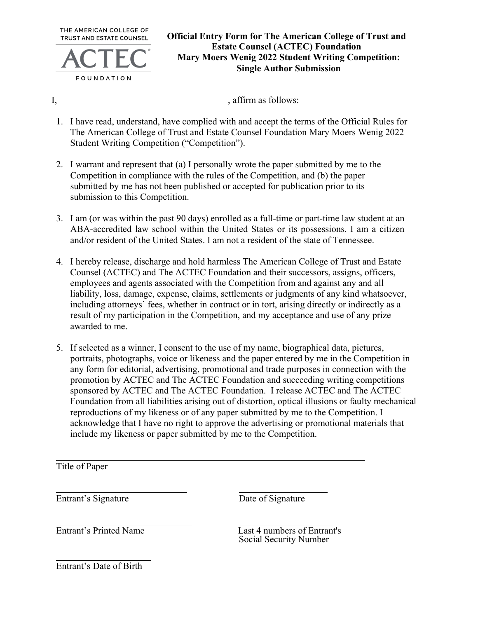THE AMERICAN COLLEGE OF **TRUST AND ESTATE COUNSEL** 



## **Official Entry Form for The American College of Trust and Estate Counsel (ACTEC) Foundation Mary Moers Wenig 2022 Student Writing Competition: Single Author Submission**

I, affirm as follows:

- 1. I have read, understand, have complied with and accept the terms of the Official Rules for The American College of Trust and Estate Counsel Foundation Mary Moers Wenig 2022 Student Writing Competition ("Competition").
- 2. I warrant and represent that (a) I personally wrote the paper submitted by me to the Competition in compliance with the rules of the Competition, and (b) the paper submitted by me has not been published or accepted for publication prior to its submission to this Competition.
- 3. I am (or was within the past 90 days) enrolled as a full-time or part-time law student at an ABA-accredited law school within the United States or its possessions. I am a citizen and/or resident of the United States. I am not a resident of the state of Tennessee.
- 4. I hereby release, discharge and hold harmless The American College of Trust and Estate Counsel (ACTEC) and The ACTEC Foundation and their successors, assigns, officers, employees and agents associated with the Competition from and against any and all liability, loss, damage, expense, claims, settlements or judgments of any kind whatsoever, including attorneys' fees, whether in contract or in tort, arising directly or indirectly as a result of my participation in the Competition, and my acceptance and use of any prize awarded to me.
- 5. If selected as a winner, I consent to the use of my name, biographical data, pictures, portraits, photographs, voice or likeness and the paper entered by me in the Competition in any form for editorial, advertising, promotional and trade purposes in connection with the promotion by ACTEC and The ACTEC Foundation and succeeding writing competitions sponsored by ACTEC and The ACTEC Foundation. I release ACTEC and The ACTEC Foundation from all liabilities arising out of distortion, optical illusions or faulty mechanical reproductions of my likeness or of any paper submitted by me to the Competition. I acknowledge that I have no right to approve the advertising or promotional materials that include my likeness or paper submitted by me to the Competition.

Title of Paper

Entrant's Signature Date of Signature

Entrant's Printed Name Last 4 numbers of Entrant's Social Security Number

Entrant's Date of Birth